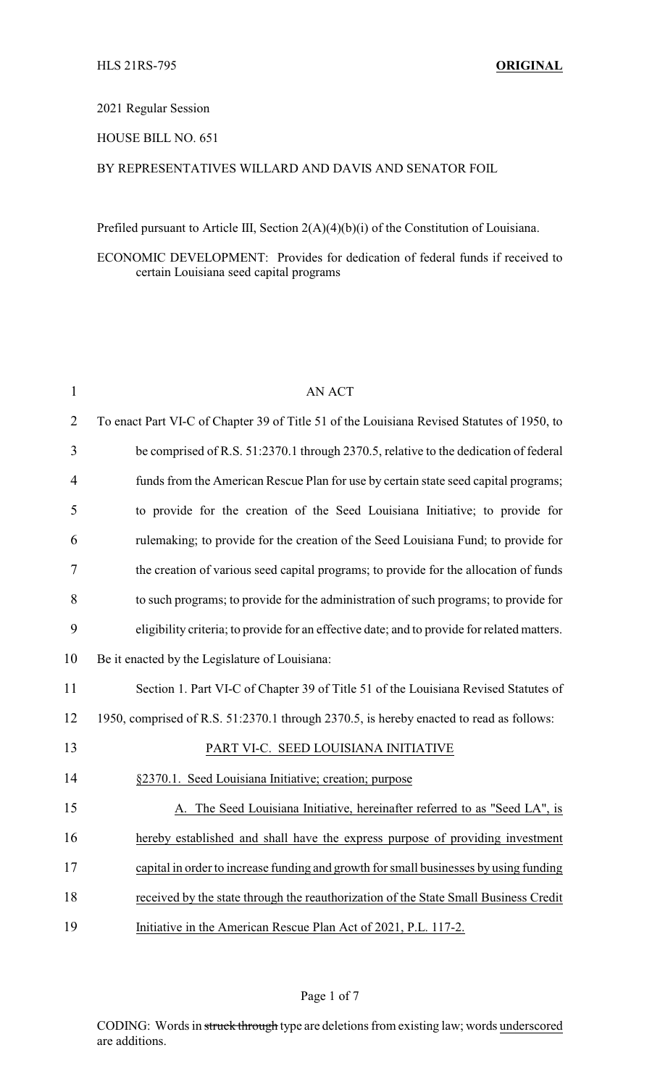#### 2021 Regular Session

## HOUSE BILL NO. 651

## BY REPRESENTATIVES WILLARD AND DAVIS AND SENATOR FOIL

Prefiled pursuant to Article III, Section 2(A)(4)(b)(i) of the Constitution of Louisiana.

## ECONOMIC DEVELOPMENT: Provides for dedication of federal funds if received to certain Louisiana seed capital programs

| $\mathbf{1}$   | <b>AN ACT</b>                                                                               |
|----------------|---------------------------------------------------------------------------------------------|
| $\overline{2}$ | To enact Part VI-C of Chapter 39 of Title 51 of the Louisiana Revised Statutes of 1950, to  |
| 3              | be comprised of R.S. 51:2370.1 through 2370.5, relative to the dedication of federal        |
| 4              | funds from the American Rescue Plan for use by certain state seed capital programs;         |
| 5              | to provide for the creation of the Seed Louisiana Initiative; to provide for                |
| 6              | rulemaking; to provide for the creation of the Seed Louisiana Fund; to provide for          |
| 7              | the creation of various seed capital programs; to provide for the allocation of funds       |
| 8              | to such programs; to provide for the administration of such programs; to provide for        |
| 9              | eligibility criteria; to provide for an effective date; and to provide for related matters. |
| 10             | Be it enacted by the Legislature of Louisiana:                                              |
| 11             | Section 1. Part VI-C of Chapter 39 of Title 51 of the Louisiana Revised Statutes of         |
| 12             | 1950, comprised of R.S. 51:2370.1 through 2370.5, is hereby enacted to read as follows:     |
| 13             | PART VI-C. SEED LOUISIANA INITIATIVE                                                        |
| 14             | §2370.1. Seed Louisiana Initiative; creation; purpose                                       |
| 15             | A. The Seed Louisiana Initiative, hereinafter referred to as "Seed LA", is                  |
| 16             | hereby established and shall have the express purpose of providing investment               |
| 17             | capital in order to increase funding and growth for small businesses by using funding       |
| 18             | received by the state through the reauthorization of the State Small Business Credit        |
| 19             | Initiative in the American Rescue Plan Act of 2021, P.L. 117-2.                             |

## Page 1 of 7

CODING: Words in struck through type are deletions from existing law; words underscored are additions.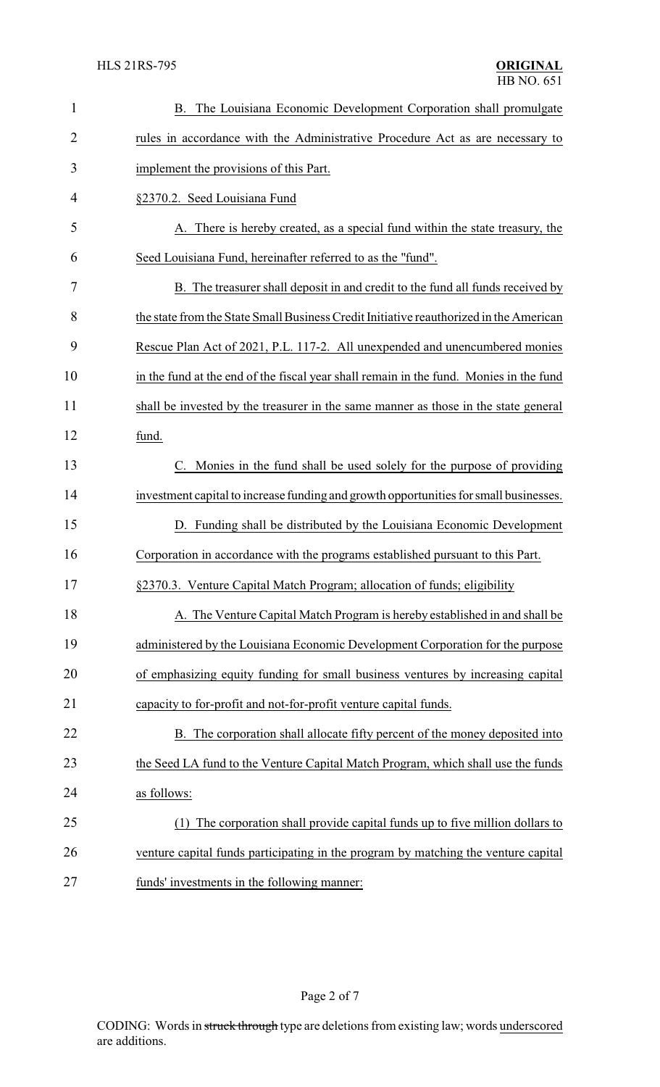| $\mathbf{1}$ | The Louisiana Economic Development Corporation shall promulgate<br>В.                  |
|--------------|----------------------------------------------------------------------------------------|
| 2            | rules in accordance with the Administrative Procedure Act as are necessary to          |
| 3            | implement the provisions of this Part.                                                 |
| 4            | §2370.2. Seed Louisiana Fund                                                           |
| 5            | A. There is hereby created, as a special fund within the state treasury, the           |
| 6            | Seed Louisiana Fund, hereinafter referred to as the "fund".                            |
| 7            | B. The treasurer shall deposit in and credit to the fund all funds received by         |
| 8            | the state from the State Small Business Credit Initiative reauthorized in the American |
| 9            | Rescue Plan Act of 2021, P.L. 117-2. All unexpended and unencumbered monies            |
| 10           | in the fund at the end of the fiscal year shall remain in the fund. Monies in the fund |
| 11           | shall be invested by the treasurer in the same manner as those in the state general    |
| 12           | fund.                                                                                  |
| 13           | Monies in the fund shall be used solely for the purpose of providing<br>C.             |
| 14           | investment capital to increase funding and growth opportunities for small businesses.  |
| 15           | D. Funding shall be distributed by the Louisiana Economic Development                  |
| 16           | Corporation in accordance with the programs established pursuant to this Part.         |
| 17           | §2370.3. Venture Capital Match Program; allocation of funds; eligibility               |
| 18           | A. The Venture Capital Match Program is hereby established in and shall be             |
| 19           | administered by the Louisiana Economic Development Corporation for the purpose         |
| 20           | of emphasizing equity funding for small business ventures by increasing capital        |
| 21           | capacity to for-profit and not-for-profit venture capital funds.                       |
| 22           | B. The corporation shall allocate fifty percent of the money deposited into            |
| 23           | the Seed LA fund to the Venture Capital Match Program, which shall use the funds       |
| 24           | as follows:                                                                            |
| 25           | The corporation shall provide capital funds up to five million dollars to<br>(1)       |
| 26           | venture capital funds participating in the program by matching the venture capital     |
| 27           | funds' investments in the following manner:                                            |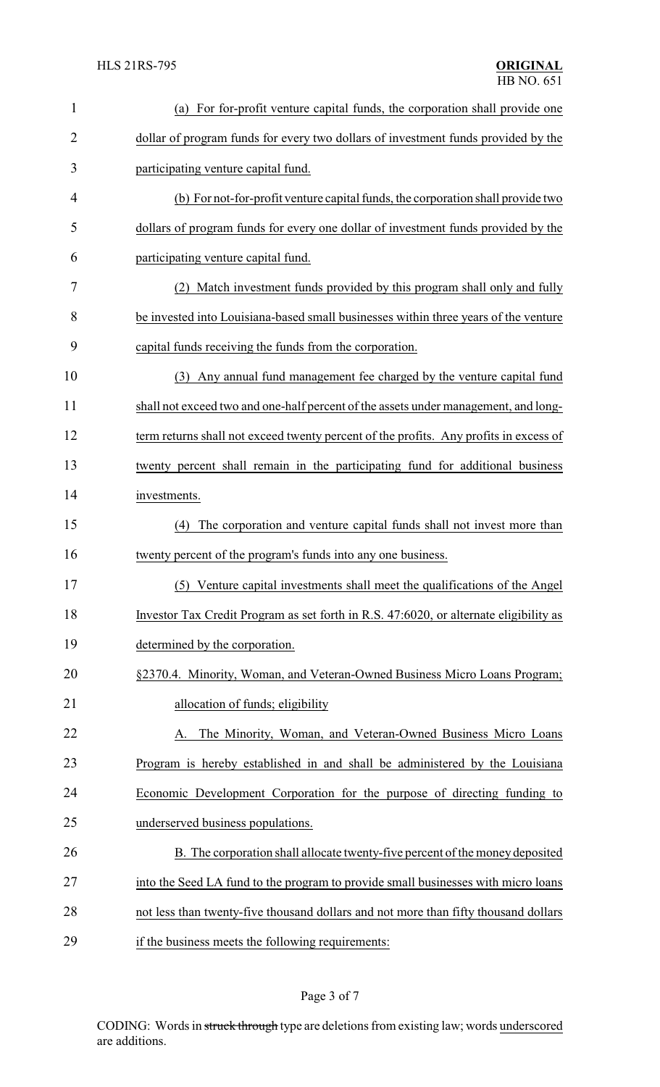| 1              | (a) For for-profit venture capital funds, the corporation shall provide one           |  |  |
|----------------|---------------------------------------------------------------------------------------|--|--|
| $\overline{2}$ | dollar of program funds for every two dollars of investment funds provided by the     |  |  |
| 3              | participating venture capital fund.                                                   |  |  |
| 4              | (b) For not-for-profit venture capital funds, the corporation shall provide two       |  |  |
| 5              | dollars of program funds for every one dollar of investment funds provided by the     |  |  |
| 6              | participating venture capital fund.                                                   |  |  |
| 7              | (2) Match investment funds provided by this program shall only and fully              |  |  |
| 8              | be invested into Louisiana-based small businesses within three years of the venture   |  |  |
| 9              | capital funds receiving the funds from the corporation.                               |  |  |
| 10             | Any annual fund management fee charged by the venture capital fund<br>(3)             |  |  |
| 11             | shall not exceed two and one-half percent of the assets under management, and long-   |  |  |
| 12             | term returns shall not exceed twenty percent of the profits. Any profits in excess of |  |  |
| 13             | twenty percent shall remain in the participating fund for additional business         |  |  |
| 14             | investments.                                                                          |  |  |
| 15             | The corporation and venture capital funds shall not invest more than<br>(4)           |  |  |
| 16             | twenty percent of the program's funds into any one business.                          |  |  |
| 17             | (5) Venture capital investments shall meet the qualifications of the Angel            |  |  |
| 18             | Investor Tax Credit Program as set forth in R.S. 47:6020, or alternate eligibility as |  |  |
| 19             | determined by the corporation.                                                        |  |  |
| 20             | §2370.4. Minority, Woman, and Veteran-Owned Business Micro Loans Program;             |  |  |
| 21             | allocation of funds; eligibility                                                      |  |  |
| 22             | The Minority, Woman, and Veteran-Owned Business Micro Loans                           |  |  |
| 23             | Program is hereby established in and shall be administered by the Louisiana           |  |  |
| 24             | Economic Development Corporation for the purpose of directing funding to              |  |  |
| 25             | underserved business populations.                                                     |  |  |
| 26             | B. The corporation shall allocate twenty-five percent of the money deposited          |  |  |
| 27             | into the Seed LA fund to the program to provide small businesses with micro loans     |  |  |
| 28             | not less than twenty-five thousand dollars and not more than fifty thousand dollars   |  |  |
| 29             | if the business meets the following requirements:                                     |  |  |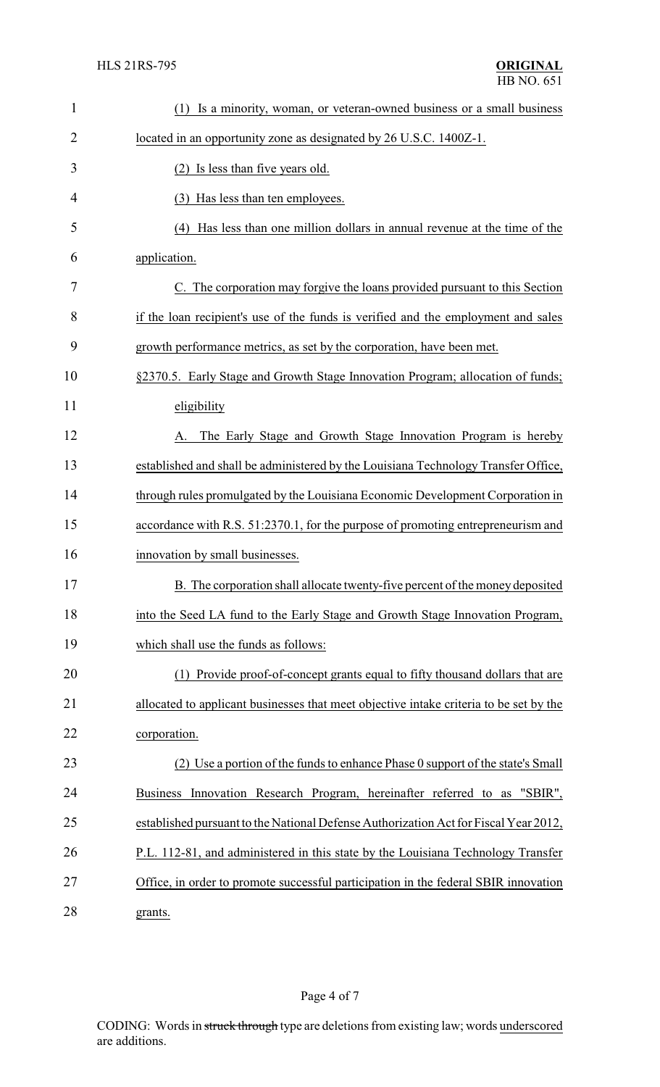| $\mathbf{1}$   | (1) Is a minority, woman, or veteran-owned business or a small business                |
|----------------|----------------------------------------------------------------------------------------|
| $\overline{2}$ | located in an opportunity zone as designated by 26 U.S.C. 1400Z-1.                     |
| 3              | (2) Is less than five years old.                                                       |
| 4              | (3) Has less than ten employees.                                                       |
| 5              | (4) Has less than one million dollars in annual revenue at the time of the             |
| 6              | application.                                                                           |
| 7              | C. The corporation may forgive the loans provided pursuant to this Section             |
| 8              | if the loan recipient's use of the funds is verified and the employment and sales      |
| 9              | growth performance metrics, as set by the corporation, have been met.                  |
| 10             | §2370.5. Early Stage and Growth Stage Innovation Program; allocation of funds;         |
| 11             | eligibility                                                                            |
| 12             | The Early Stage and Growth Stage Innovation Program is hereby<br>A.                    |
| 13             | established and shall be administered by the Louisiana Technology Transfer Office,     |
| 14             | through rules promulgated by the Louisiana Economic Development Corporation in         |
| 15             | accordance with R.S. 51:2370.1, for the purpose of promoting entrepreneurism and       |
| 16             | innovation by small businesses.                                                        |
| 17             | B. The corporation shall allocate twenty-five percent of the money deposited           |
| 18             | into the Seed LA fund to the Early Stage and Growth Stage Innovation Program,          |
| 19             | which shall use the funds as follows:                                                  |
| 20             | Provide proof-of-concept grants equal to fifty thousand dollars that are<br>(1)        |
| 21             | allocated to applicant businesses that meet objective intake criteria to be set by the |
| 22             | corporation.                                                                           |
| 23             | (2) Use a portion of the funds to enhance Phase 0 support of the state's Small         |
| 24             | Innovation Research Program, hereinafter referred to as<br>"SBIR",<br><b>Business</b>  |
| 25             | established pursuant to the National Defense Authorization Act for Fiscal Year 2012,   |
| 26             | P.L. 112-81, and administered in this state by the Louisiana Technology Transfer       |
| 27             | Office, in order to promote successful participation in the federal SBIR innovation    |
| 28             | grants.                                                                                |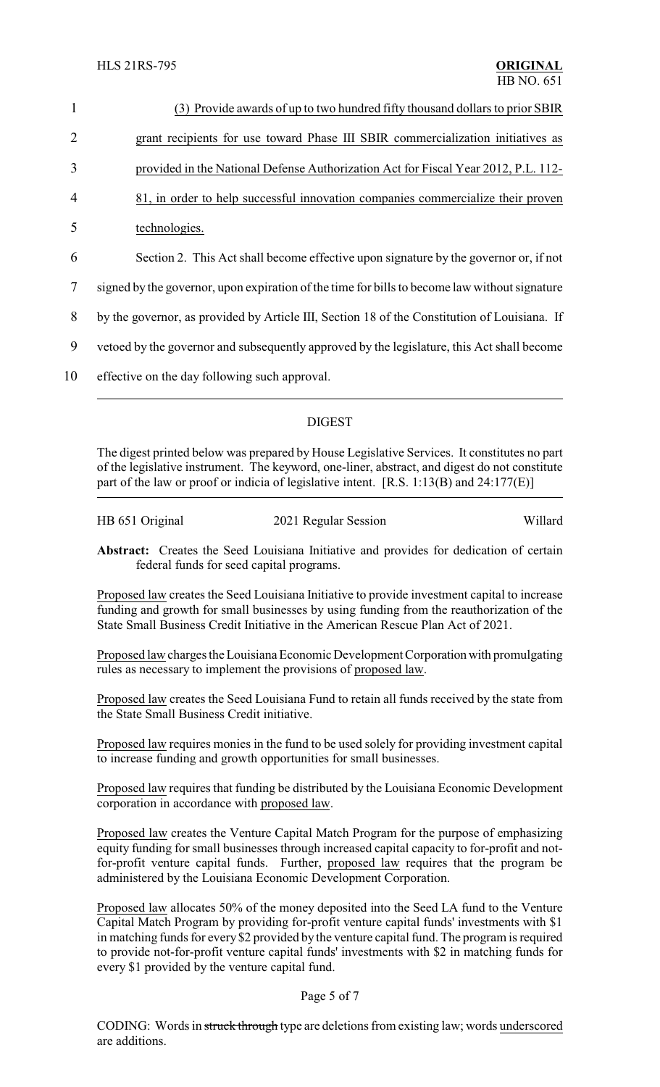| $\mathbf{1}$   | (3) Provide awards of up to two hundred fifty thousand dollars to prior SBIR                  |
|----------------|-----------------------------------------------------------------------------------------------|
| $\overline{2}$ | grant recipients for use toward Phase III SBIR commercialization initiatives as               |
| 3              | provided in the National Defense Authorization Act for Fiscal Year 2012, P.L. 112-            |
| $\overline{4}$ | 81, in order to help successful innovation companies commercialize their proven               |
| 5              | technologies.                                                                                 |
| 6              | Section 2. This Act shall become effective upon signature by the governor or, if not          |
| 7              | signed by the governor, upon expiration of the time for bills to become law without signature |
| 8              | by the governor, as provided by Article III, Section 18 of the Constitution of Louisiana. If  |
| 9              | vetoed by the governor and subsequently approved by the legislature, this Act shall become    |
| 10             | effective on the day following such approval.                                                 |

# DIGEST

The digest printed below was prepared by House Legislative Services. It constitutes no part of the legislative instrument. The keyword, one-liner, abstract, and digest do not constitute part of the law or proof or indicia of legislative intent. [R.S. 1:13(B) and 24:177(E)]

| HB 651 Original | 2021 Regular Session | Willard |
|-----------------|----------------------|---------|
|                 |                      |         |

**Abstract:** Creates the Seed Louisiana Initiative and provides for dedication of certain federal funds for seed capital programs.

Proposed law creates the Seed Louisiana Initiative to provide investment capital to increase funding and growth for small businesses by using funding from the reauthorization of the State Small Business Credit Initiative in the American Rescue Plan Act of 2021.

Proposed law charges the Louisiana Economic Development Corporation with promulgating rules as necessary to implement the provisions of proposed law.

Proposed law creates the Seed Louisiana Fund to retain all funds received by the state from the State Small Business Credit initiative.

Proposed law requires monies in the fund to be used solely for providing investment capital to increase funding and growth opportunities for small businesses.

Proposed law requires that funding be distributed by the Louisiana Economic Development corporation in accordance with proposed law.

Proposed law creates the Venture Capital Match Program for the purpose of emphasizing equity funding for small businesses through increased capital capacity to for-profit and notfor-profit venture capital funds. Further, proposed law requires that the program be administered by the Louisiana Economic Development Corporation.

Proposed law allocates 50% of the money deposited into the Seed LA fund to the Venture Capital Match Program by providing for-profit venture capital funds' investments with \$1 in matching funds for every \$2 provided by the venture capital fund. The program is required to provide not-for-profit venture capital funds' investments with \$2 in matching funds for every \$1 provided by the venture capital fund.

## Page 5 of 7

CODING: Words in struck through type are deletions from existing law; words underscored are additions.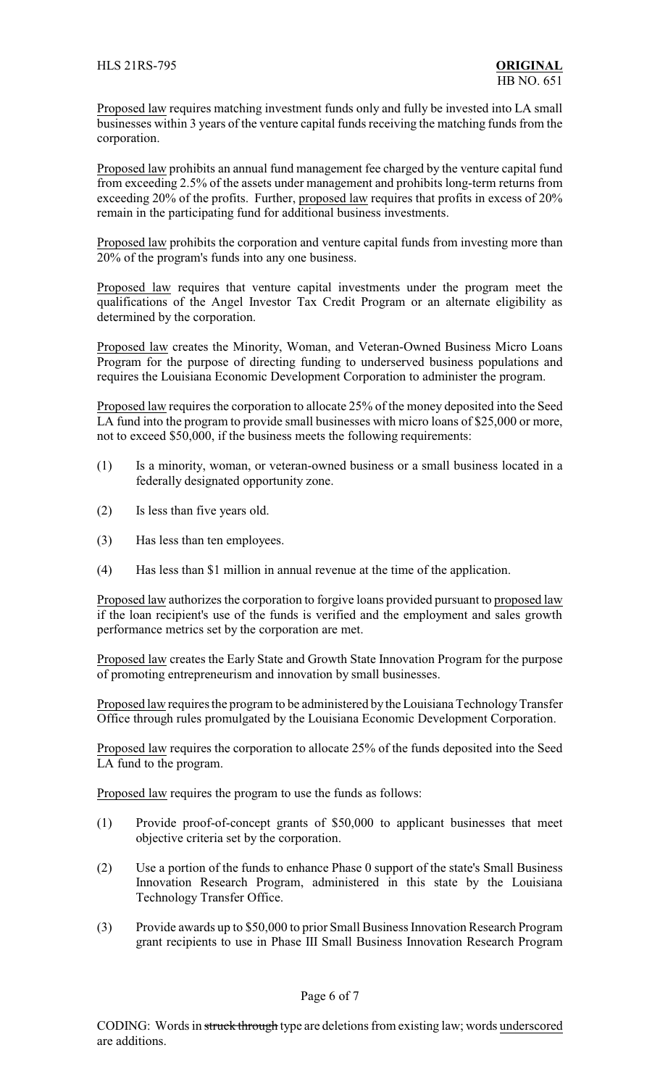Proposed law requires matching investment funds only and fully be invested into LA small businesses within 3 years of the venture capital funds receiving the matching funds from the corporation.

Proposed law prohibits an annual fund management fee charged by the venture capital fund from exceeding 2.5% of the assets under management and prohibits long-term returns from exceeding 20% of the profits. Further, proposed law requires that profits in excess of 20% remain in the participating fund for additional business investments.

Proposed law prohibits the corporation and venture capital funds from investing more than 20% of the program's funds into any one business.

Proposed law requires that venture capital investments under the program meet the qualifications of the Angel Investor Tax Credit Program or an alternate eligibility as determined by the corporation.

Proposed law creates the Minority, Woman, and Veteran-Owned Business Micro Loans Program for the purpose of directing funding to underserved business populations and requires the Louisiana Economic Development Corporation to administer the program.

Proposed law requires the corporation to allocate 25% of the money deposited into the Seed LA fund into the program to provide small businesses with micro loans of \$25,000 or more, not to exceed \$50,000, if the business meets the following requirements:

- (1) Is a minority, woman, or veteran-owned business or a small business located in a federally designated opportunity zone.
- (2) Is less than five years old.
- (3) Has less than ten employees.
- (4) Has less than \$1 million in annual revenue at the time of the application.

Proposed law authorizes the corporation to forgive loans provided pursuant to proposed law if the loan recipient's use of the funds is verified and the employment and sales growth performance metrics set by the corporation are met.

Proposed law creates the Early State and Growth State Innovation Program for the purpose of promoting entrepreneurism and innovation by small businesses.

Proposed law requires the program to be administered by the Louisiana Technology Transfer Office through rules promulgated by the Louisiana Economic Development Corporation.

Proposed law requires the corporation to allocate 25% of the funds deposited into the Seed LA fund to the program.

Proposed law requires the program to use the funds as follows:

- (1) Provide proof-of-concept grants of \$50,000 to applicant businesses that meet objective criteria set by the corporation.
- (2) Use a portion of the funds to enhance Phase 0 support of the state's Small Business Innovation Research Program, administered in this state by the Louisiana Technology Transfer Office.
- (3) Provide awards up to \$50,000 to prior Small Business Innovation Research Program grant recipients to use in Phase III Small Business Innovation Research Program